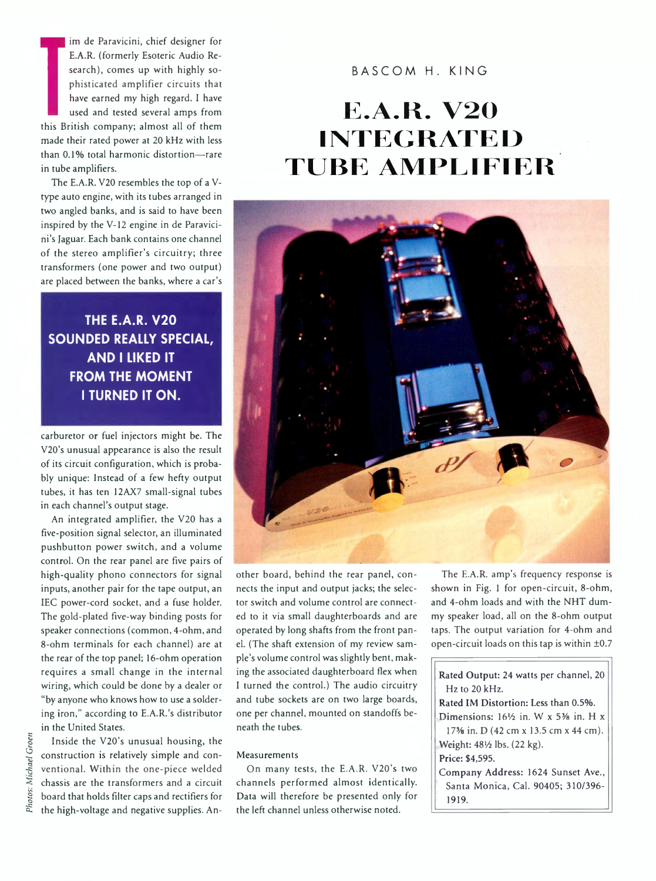im de Parav<br>E.A.R. (form<br>search), complisticated<br>have earned<br>this British comp<br>made their rated p<br>than 0.1% total has im de Paravicini, chief designer for E.A.R. (formerly Esoteric Audio Research), comes up with highly sophisticated amplifier circuits that have earned my high regard. I have used and tested several amps from this British company; almost all of them made their rated power at 20 kHz with less than 0.1% total harmonic distortion—rare in tube amplifiers.

The E.A.R. V20 resembles the top of a Vtype auto engine, with its tubes arranged in two angled banks, and is said to have been inspired by the V-12 engine in de Paravicini's Jaguar. Each bank contains one channel of the stereo amplifier's circuitry; three transformers (one power and two output) are placed between the banks, where a car's

# **THE E.A.R. V20 SOUNDED REALLY SPECIAL, AND I LIKED IT FROM THE MOMENT I TURNED IT ON.**

carburetor or fuel injectors might be. The V20's unusual appearance is also the result of its circuit configuration, which is probably unique: Instead of a few hefty output tubes, it has ten 12AX7 small-signal tubes in each channel's output stage.

An integrated amplifier, the V20 has a five-position signal selector, an illuminated pushbutton power switch, and a volume control. On the rear panel are five pairs of high-quality phono connectors for signal inputs, another pair for the tape output, an IEC power-cord socket, and a fuse holder. The gold-plated five-way binding posts for speaker connections (common, 4-ohm, and 8-ohm terminals for each channel) are at the rear of the top panel; 16-ohm operation requires a small change in the internal wiring, which could be done by a dealer or "by anyone who knows how to use a soldering iron," according to E.A.R.'s distributor in the United States.

Inside the V20's unusual housing, the construction is relatively simple and conventional. Within the one-piece welded chassis are the transformers and a circuit board that holds filter caps and rectifiers for the high-voltage and negative supplies. An-

## BASCOM H. KING

# **E.A.R. V20 IN T E G R A T E D TUBE AMPLIFIER**



other board, behind the rear panel, connects the input and output jacks; the selector switch and volume control are connected to it via small daughterboards and are operated by long shafts from the front panel. (The shaft extension of my review sample's volume control was slightly bent, making the associated daughterboard flex when I turned the control.) The audio circuitry and tube sockets are on two large boards, one per channel, mounted on standoffs beneath the tubes.

#### Measurements

On many tests, the E.A.R. V20's two channels performed almost identically. Data will therefore be presented only for the left channel unless otherwise noted.

The E.A.R. amp's frequency response is shown in Fig. 1 for open-circuit, 8-ohm, and 4-ohm loads and with the NHT dummy speaker load, all on the 8-ohm output taps. The output variation for 4-ohm and open-circuit loads on this tap is within ±0.7

| Rated Output: 24 watts per channel, 20                                    |
|---------------------------------------------------------------------------|
| $Hz$ to 20 kHz.                                                           |
| Rated IM Distortion: Less than 0.5%.                                      |
| Dimensions: $16\frac{1}{2}$ in. W x 5 <sup>3</sup> / <sub>8</sub> in. H x |
| 17 <sup>3</sup> / <sub>8</sub> in. D (42 cm x 13.5 cm x 44 cm).           |
| Weight: 48½ lbs. (22 kg).                                                 |
| Price: \$4,595.                                                           |
| Company Address: 1624 Sunset Ave.,                                        |
| Santa Monica, Cal. 90405; 310/396-                                        |
| 1919.                                                                     |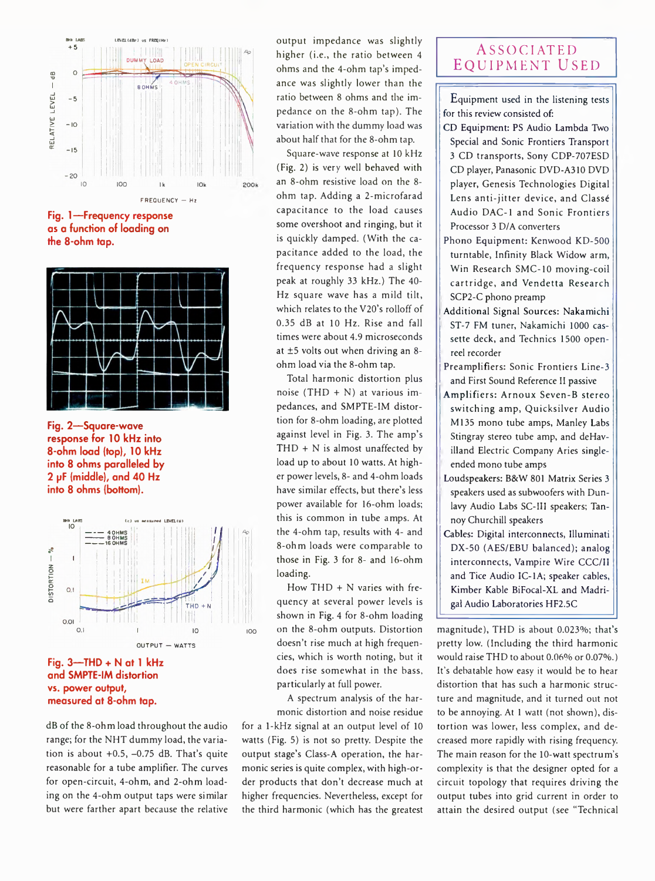

**Fig. 1— Frequency response as a function of loading on the 8-ohm tap.**



**Fig. 2— Square-wave response for 10 kHz into 8-ohm load (top), 10 kHz into 8 ohms paralleled by 2 pF (middle), and 40 Hz into 8 ohms (bottom).**



### **Fig. 3—THD + N at 1 kHz and SMPTE-IM distortion vs. power output, measured at 8-ohm tap.**

dB of the 8-ohm load throughout the audio range; for the NHT dummy load, the variation is about  $+0.5$ ,  $-0.75$  dB. That's quite reasonable for a tube amplifier. The curves for open-circuit, 4-ohm, and 2-ohm loading on the 4-ohm output taps were similar but were farther apart because the relative output impedance was slightly higher (i.e., the ratio between 4 ohms and the 4-ohm tap's impedance was slightly lower than the ratio between 8 ohms and the impedance on the 8-ohm tap). The variation with the dummy load was about half that for the 8-ohm tap.

Square-wave response at 10 kHz (Fig. 2) is very well behaved with an 8-ohm resistive load on the 8 ohm tap. Adding a 2-microfarad capacitance to the load causes some overshoot and ringing, but it is quickly damped. (With the capacitance added to the load, the frequency response had a slight peak at roughly 33 kHz.) The 40- Hz square wave has a mild tilt, which relates to the V20's rolloff of 0.35 dB at 10 Hz. Rise and fall times were about 4.9 microseconds at ±5 volts out when driving an 8 ohm load via the 8-ohm tap.

Total harmonic distortion plus noise (THD + N) at various impedances, and SMPTE-IM distortion for 8-ohm loading, are plotted against level in Fig. 3. The amp's THD + N is almost unaffected by load up to about 10 watts. At higher power levels, 8- and 4-ohm loads have similar effects, but there's less power available for 16-ohm loads; this is common in tube amps. At the 4-ohm tap, results with 4- and 8-ohm loads were comparable to those in Fig. 3 for 8- and 16-ohm loading.

How THD + N varies with frequency at several power levels is shown in Fig. 4 for 8-ohm loading ioo on the 8-ohm outputs. Distortion doesn't rise much at high frequencies, which is worth noting, but it does rise somewhat in the bass, particularly at full power.

> A spectrum analysis of the harmonic distortion and noise residue

for a 1-kHz signal at an output level of 10 watts (Fig. 5) is not so pretty. Despite the output stage's Class-A operation, the harmonic series is quite complex, with high-order products that don't decrease much at higher frequencies. Nevertheless, except for the third harmonic (which has the greatest

## ASSOCIATED Equipment Used

Equipment used in the listening tests for this review consisted of:

- CD Equipment: PS Audio Lambda Two Special and Sonic Frontiers Transport 3 CD transports, Sony CDP-707ESD CD player, Panasonic DVD-A310 DVD player, Genesis Technologies Digital Lens anti-jitter device, and Classé Audio DAC-1 and Sonic Frontiers Processor 3 D/A converters
- Phono Equipment: Kenwood KD-500 turntable, Infinity Black Widow arm, Win Research SMC-10 moving-coil cartridge, and Vendetta Research SCP2-C phono preamp
- Additional Signal Sources: Nakamichi ST-7 FM tuner, Nakamichi 1000 cassette deck, and Technics 1500 openreel recorder
- Preamplifiers: Sonic Frontiers Line-3 and First Sound Reference II passive
- Amplifiers: Arnoux Seven-B stereo switching amp, Quicksilver Audio M135 mono tube amps, Manley Labs Stingray stereo tube amp, and deHavilland Electric Company Aries singleended mono tube amps
- Loudspeakers: B&W 801 Matrix Series 3 speakers used as subwoofers with Dunlavy Audio Labs SC-III speakers; Tannoy Churchill speakers
- Cables: Digital interconnects, Illuminati DX-50 (AES/EBU balanced); analog interconnects, Vampire Wire CCC/II and Tice Audio IC-1A; speaker cables, Kimber Kable BiFocal-XL and Madrigal Audio Laboratories HF2.5C

magnitude), THD is about 0.023%; that's pretty low. (Including the third harmonic would raise THD to about 0.06% or 0.07%.) It's debatable how easy it would be to hear distortion that has such a harmonic structure and magnitude, and it turned out not to be annoying. At 1 watt (not shown), distortion was lower, less complex, and decreased more rapidly with rising frequency. The main reason for the 10-watt spectrum's complexity is that the designer opted for a circuit topology that requires driving the output tubes into grid current in order to attain the desired output (see "Technical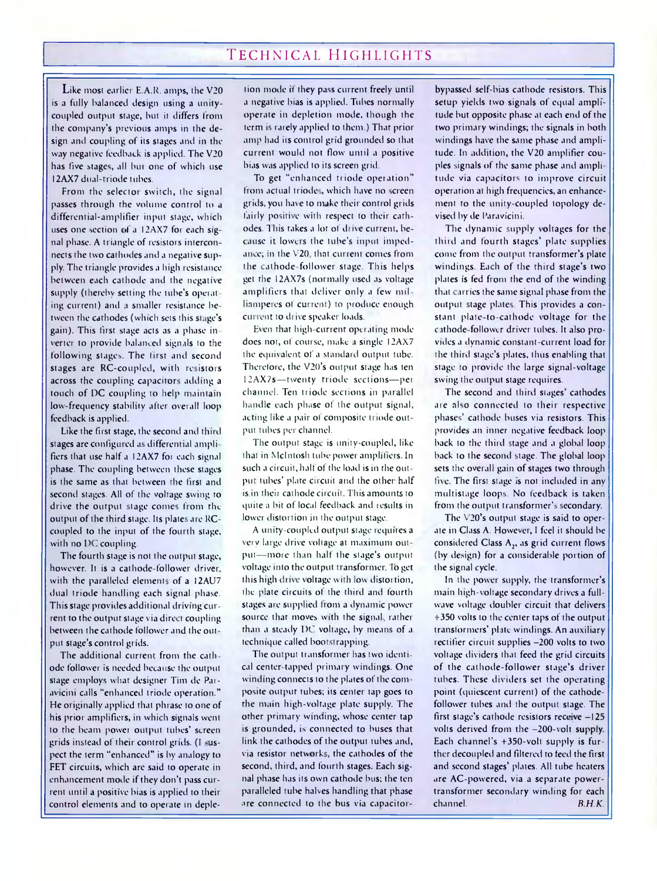# TECHNICAL HIGHLIGHTS

Like most earlier E.A.R. amps, the V20 is a fully balanced design using a unity coupled output stage, but it differs from the company's previous amps in the de sign and coupling of its stages and in the way negative feedback is applied. The V20 has five stages, all but one of which use I2AX7 diul-triode tubes.

From the selector switch, the signal passes through the volume control to a differential-amplifier input stage, which uses one section of a 12AX7 for each signal phase. A triangle of resistors interconnects the two cathodes and a negative supply. The triangle provides a high resistance between each cathode and the negative supply (thereby setting the tube's operating current) and a smaller resistance between the cathodes (which sets this stage's gain). This first stage acts as a phase in verter to provide balanced signals to the following stages. The first and second stages are RC-coupled, with resistors across the coupling capacitors adding a touch of DC coupling to help maintain low-frequency stability after overall loop feedback is applied.

Like the first stage, the second and third stages are configured as differential amplifiers that use half a I2AX7 for each signal phase. The coupling between these stages is the same as that between the first and second stages. All of the voltage swing to drive the output stage comes from the output of the third stage. Its plates are RC coupled to the input of the fourth stage, with no DC coupling.

The fourth stage is not the output stage, however. It is a cathode-follower driver, with the paralleled elements of a I2AU7 dual triode handling each signal phase. This stage provides additional driving cur rent to the output stage via direct coupling between the cathode follower and the out put stage's control grids.

The additional current from the cathode follower is needed because the output stage employs what designer Tim de Paravicini calls "enhanced triode operation." He originally applied that phrase to one of his prior amplifiers, in which signals went to the beam powei output tubes' screen grids instead ol their control grids. (I -uspect the term "enhanced" is by analogy to FET circuits, which are said to operate in enhancement mode if they don't pass current until a positive bias is applied to their control elements and to operate in depletion mode if they pass current freely until a negative bias is applied. Tubes normally operate in depletion mode, though the term is rarely applied to them.) That prior amp had its control grid grounded so that current would not flow until a positive bias was applied to its screen grid.

To get "enhanced triode operation" from actual triodes, which have no screen grids, you have to make their control grids fairly positive with respect to their cathodes. This takes a lot of drive current, because it lowers the tube's input imped ance; in the V20, that current comes from the cathode follower stage. This helps get the 12AX7s (normally used as voltage amplifiers that deliver only a few mil linmperes of current) to produce enough current to drive speaker loads.

Even that high-current operating mode does not, of course, make a single I2AX7 the equivalent of a standard output tube. Therefore, the V20's output stage has ten 12AX7s—twenty triode sections— per channei. Ten triode sections in parallel handle each phase ol the output signal, acting like a pair ol composite triode out put tubes per channel.

The output stage is unity-coupled, like that in McIntosh tube power amplifiers. In such a circuit, half of the load is in the out put tubes' plate circuit and the other half is in their cathode circuit. This amounts to quite a bit of local feedback and results in lower distortion in the output stage.

A unity-coupled output stage requires a Very large drive voltage at maximum output—more than half the stage's output voltage into the output transformer. To get this high drive voltage with low distortion, the plate circuits of the third and fourth stages are supplied Irom a dynamic power source that moves with the signal, rather than a steady DC voltage, by means of a technique called bootstrapping.

The output transformer has two identi cal center-tapped primary windings. One winding connects to the plates of the composite output tubes; its center tap goes to the main high-voltage plate supply. The other primary winding, whose center tap is grounded, is connected to buses that link the cathodes of the output tubes and, via resistor networks, the cathodes of the second, third, and fourth stages. Each signal phase has its own cathode bus; the ten paralleled tube halves handling that phase are connected to the bus via capacitor

bypassed self-bias cathode resistors. This setup yields two signals of equal amplitude but opposite phase at each end of the two primary windings; the signals in both windings have the same phase and amplitude. In addition, the V20 amplifier couples signals of the same phase and amplitude via capacitors to improve circuit operation at high frequencies, an enhancement to the unity-coupled topology devised by de Paravicini.

The dynamic supply voltages for the third and fourth stages' plate supplies come from the output transformer's plate windings. Each of the third stage's two plates is fed from the end of the winding that carries the same signal phase from the output stage plates. This provides a constant plate-to-cathode voltage for the cathode follower driver tubes. It also provides a dynamic constant-current load for the third stage's plates, thus enabling that stage to provide the large signal-voltage swing the output stage requires.

The second and third stages' cathodes are also connected to their respective phases' cathode buses via resistors. This provides an inner negative feedback loop back to the third stage and a global loop back to the second stage. The global loop sets the overall gain of stages two through five. The first stage is not included in any multistage loops. No leedback is taken from the output transformer's secondary.

The V20's output stage is said to operate in Class A. However, I feel it should be considered Class A,, as grid current flows (by design) for a considerable portion of the signal cycle.

In the power supply, the transformer's main high-voltage secondary drives a fullwave voltage doubler circuit that delivers +350 volts to the center taps of the output transformers' plate windings. An auxiliary rectifier circuit supplies -200 volts to two voltage dividers that feed the grid circuits of the cathode-follower stage's driver tubes. These dividers set the operating point (quiescent current) of the cathodefollower tubes and the output stage. The first stage's cathode resistors receive  $-125$ volts derived from the -200-volt supply. Each ch innel's +350-volt supply is further decoupled and filtered to feed the first and second stages' plates. All tube heaters are AC powered, via a separate powertransformer secondary winding for each channel. *B.H.K.*